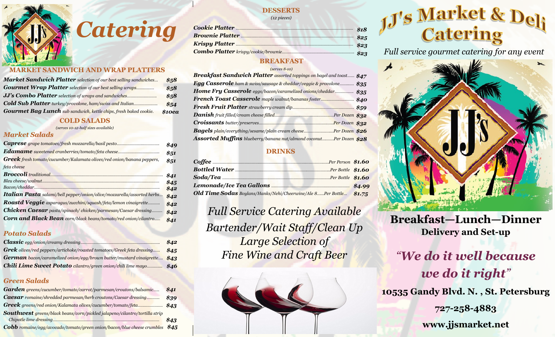

# *Catering*

#### **MARKET SANDWICH AND WRAP PLATTERS**

| <b>Market Sandwich Platter</b> selection of our best selling sandwiches | \$58   |
|-------------------------------------------------------------------------|--------|
| <b>Gourmet Wrap Platter</b> selection of our best selling wraps         | \$58   |
| JJ's Combo Platter selection of wraps and sandwiches                    | \$58   |
| <b>Cold Sub Platter</b> turkey/provolone, ham/swiss and Italian         | \$54   |
| Gourmet Bag Lunch sub sandwich, kettle chips, fresh baked cookie.       | \$10ea |

#### **COLD SALADS**

*(serves 10-12-half sizes available)*

#### *Market Salads*

|                                                                               | \$49 |
|-------------------------------------------------------------------------------|------|
|                                                                               | \$51 |
| <b>Greek</b> fresh tomato/cucumber/Kalamata olives/red onion/banana peppers,  | \$51 |
| feta cheese                                                                   |      |
|                                                                               | \$41 |
|                                                                               | \$45 |
|                                                                               | \$42 |
| <b>Italian Pasta</b> salami/bell pepper/onion/olive/mozzarella/assorted herbs | \$42 |
| Roastd Veggie asparagus/zucchini/squash/feta/lemon vinaigrette                | \$42 |
| <b>Chicken Caesar</b> pasta/spinach/chicken/parmesan/Caesar dressing          | \$42 |
| Corn and Black Bean corn/black beans/tomato/red onion/cilantro                | \$41 |

#### *Potato Salads*

|                                                                                 | \$42 |
|---------------------------------------------------------------------------------|------|
| <b>Grek</b> olives/red peppers/artichoke/roasted tomatoes/Greek feta dressing   | \$45 |
| <b>German</b> bacon/caramelized onion/egg/brown butter/mustard vinaigrette \$43 |      |
| <b>Chili Lime Sweet Potato</b> cilantro/green onion/chili lime mayo             | \$46 |

#### *Green Salads*

| Garden greens/cucumber/tomato/carrot/parmesan/croutons/balsamic                   | \$41 |
|-----------------------------------------------------------------------------------|------|
| <b>Caesar</b> romaine/shredded parmesan/herb croutons/Caesar dressing             | \$39 |
| <b>Greek</b> greens/red onion/Kalamata olives/cucumber/tomato/feta\$43            |      |
| <b>Southwest</b> greens/black beans/corn/pickled jalapeno/cilantro/tortilla strip |      |
|                                                                                   | \$43 |
| $\mathbf{Cobb}$ romaine/egg/avocado/tomato/green onion/bacon/blue cheese crumbles | \$45 |

#### **DESSERTS**

*(12 pieces)*

| \$2.5 |
|-------|
|       |
|       |

#### **BREAKFAST**

#### *(serves 8-10)*

| <b>Breakfast Sandwich Platter</b> assorted toppings on bagel and toast \$47 |  |
|-----------------------------------------------------------------------------|--|
| Egg Casserole ham & swiss/sausage & cheddar/veggie & provolone \$35         |  |
| Home Fry Casserole eggs/bacon/caramelized onions/cheddar \$35               |  |
|                                                                             |  |
|                                                                             |  |
|                                                                             |  |
|                                                                             |  |
| <b>Bagels</b> plain/everything/sesame/plain cream cheesePer Dozen \$26      |  |
| Assorted Muffins blueberry/banana nut/almond coconutPer Dozen \$28          |  |

#### **DRINKS**

| <b>Old Time Sodas</b> Boylans/Hanks/Nehi/Cheerwine/Ale 8Per Bottle \$1.75 |  |
|---------------------------------------------------------------------------|--|

*Full Service Catering Available Bartender/Wait Staff/Clean Up Large Selection of Fine Wine and Craft Beer*



# JJ's Market & Deli

*Full service gourmet catering for any event*



# **Breakfast—Lunch—Dinner Delivery and Set-up**

*"We do it well because we do it right"* **10535 Gandy Blvd. N. , St. Petersburg 727-258-4883 www.jjsmarket.net**